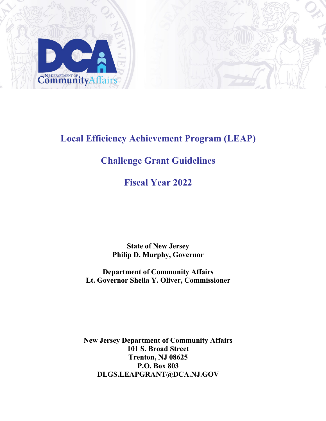

**Local Efficiency Achievement Program (LEAP)**

# **Challenge Grant Guidelines**

# **Fiscal Year 2022**

**State of New Jersey Philip D. Murphy, Governor**

**Department of Community Affairs Lt. Governor Sheila Y. Oliver, Commissioner**

**New Jersey Department of Community Affairs 101 S. Broad Street Trenton, NJ 08625 P.O. Box 803 DLGS.LEAPGRANT@DCA.NJ.GOV**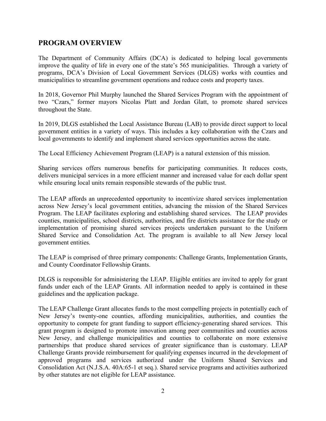# **PROGRAM OVERVIEW**

The Department of Community Affairs (DCA) is dedicated to helping local governments improve the quality of life in every one of the state's 565 municipalities. Through a variety of programs, DCA's Division of Local Government Services (DLGS) works with counties and municipalities to streamline government operations and reduce costs and property taxes.

In 2018, Governor Phil Murphy launched the Shared Services Program with the appointment of two "Czars," former mayors Nicolas Platt and Jordan Glatt, to promote shared services throughout the State.

In 2019, DLGS established the Local Assistance Bureau (LAB) to provide direct support to local government entities in a variety of ways. This includes a key collaboration with the Czars and local governments to identify and implement shared services opportunities across the state.

The Local Efficiency Achievement Program (LEAP) is a natural extension of this mission.

Sharing services offers numerous benefits for participating communities. It reduces costs, delivers municipal services in a more efficient manner and increased value for each dollar spent while ensuring local units remain responsible stewards of the public trust.

The LEAP affords an unprecedented opportunity to incentivize shared services implementation across New Jersey's local government entities, advancing the mission of the Shared Services Program. The LEAP facilitates exploring and establishing shared services. The LEAP provides counties, municipalities, school districts, authorities, and fire districts assistance for the study or implementation of promising shared services projects undertaken pursuant to the Uniform Shared Service and Consolidation Act. The program is available to all New Jersey local government entities.

The LEAP is comprised of three primary components: Challenge Grants, Implementation Grants, and County Coordinator Fellowship Grants.

DLGS is responsible for administering the LEAP. Eligible entities are invited to apply for grant funds under each of the LEAP Grants. All information needed to apply is contained in these guidelines and the application package.

The LEAP Challenge Grant allocates funds to the most compelling projects in potentially each of New Jersey's twenty-one counties, affording municipalities, authorities, and counties the opportunity to compete for grant funding to support efficiency-generating shared services. This grant program is designed to promote innovation among peer communities and counties across New Jersey, and challenge municipalities and counties to collaborate on more extensive partnerships that produce shared services of greater significance than is customary. LEAP Challenge Grants provide reimbursement for qualifying expenses incurred in the development of approved programs and services authorized under the Uniform Shared Services and Consolidation Act (N.J.S.A. 40A:65-1 et seq.). Shared service programs and activities authorized by other statutes are not eligible for LEAP assistance.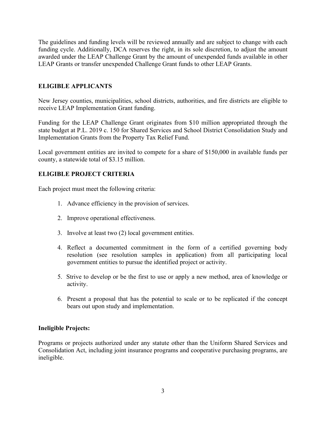The guidelines and funding levels will be reviewed annually and are subject to change with each funding cycle. Additionally, DCA reserves the right, in its sole discretion, to adjust the amount awarded under the LEAP Challenge Grant by the amount of unexpended funds available in other LEAP Grants or transfer unexpended Challenge Grant funds to other LEAP Grants.

# **ELIGIBLE APPLICANTS**

New Jersey counties, municipalities, school districts, authorities, and fire districts are eligible to receive LEAP Implementation Grant funding.

Funding for the LEAP Challenge Grant originates from \$10 million appropriated through the state budget at P.L. 2019 c. 150 for Shared Services and School District Consolidation Study and Implementation Grants from the Property Tax Relief Fund.

Local government entities are invited to compete for a share of \$150,000 in available funds per county, a statewide total of \$3.15 million.

# **ELIGIBLE PROJECT CRITERIA**

Each project must meet the following criteria:

- 1. Advance efficiency in the provision of services.
- 2. Improve operational effectiveness.
- 3. Involve at least two (2) local government entities.
- 4. Reflect a documented commitment in the form of a certified governing body resolution (see resolution samples in application) from all participating local government entities to pursue the identified project or activity.
- 5. Strive to develop or be the first to use or apply a new method, area of knowledge or activity.
- 6. Present a proposal that has the potential to scale or to be replicated if the concept bears out upon study and implementation.

#### **Ineligible Projects:**

Programs or projects authorized under any statute other than the Uniform Shared Services and Consolidation Act, including joint insurance programs and cooperative purchasing programs, are ineligible.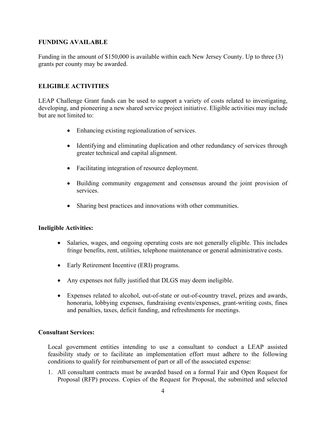## **FUNDING AVAILABLE**

Funding in the amount of \$150,000 is available within each New Jersey County. Up to three (3) grants per county may be awarded.

# **ELIGIBLE ACTIVITIES**

LEAP Challenge Grant funds can be used to support a variety of costs related to investigating, developing, and pioneering a new shared service project initiative. Eligible activities may include but are not limited to:

- Enhancing existing regionalization of services.
- Identifying and eliminating duplication and other redundancy of services through greater technical and capital alignment.
- Facilitating integration of resource deployment.
- Building community engagement and consensus around the joint provision of services.
- Sharing best practices and innovations with other communities.

#### **Ineligible Activities:**

- Salaries, wages, and ongoing operating costs are not generally eligible. This includes fringe benefits, rent, utilities, telephone maintenance or general administrative costs.
- Early Retirement Incentive (ERI) programs.
- Any expenses not fully justified that DLGS may deem ineligible.
- Expenses related to alcohol, out-of-state or out-of-country travel, prizes and awards, honoraria, lobbying expenses, fundraising events/expenses, grant-writing costs, fines and penalties, taxes, deficit funding, and refreshments for meetings.

#### **Consultant Services:**

Local government entities intending to use a consultant to conduct a LEAP assisted feasibility study or to facilitate an implementation effort must adhere to the following conditions to qualify for reimbursement of part or all of the associated expense:

1. All consultant contracts must be awarded based on a formal Fair and Open Request for Proposal (RFP) process. Copies of the Request for Proposal, the submitted and selected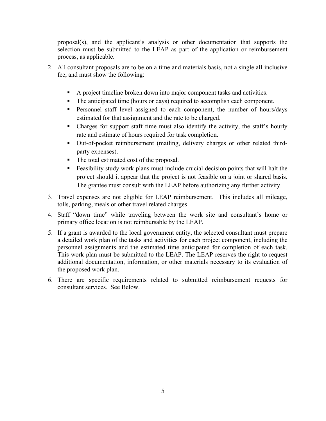proposal(s), and the applicant's analysis or other documentation that supports the selection must be submitted to the LEAP as part of the application or reimbursement process, as applicable.

- 2. All consultant proposals are to be on a time and materials basis, not a single all-inclusive fee, and must show the following:
	- A project timeline broken down into major component tasks and activities.
	- The anticipated time (hours or days) required to accomplish each component.
	- **Personnel staff level assigned to each component, the number of hours/days** estimated for that assignment and the rate to be charged.
	- Charges for support staff time must also identify the activity, the staff's hourly rate and estimate of hours required for task completion.
	- Out-of-pocket reimbursement (mailing, delivery charges or other related thirdparty expenses).
	- The total estimated cost of the proposal.
	- Feasibility study work plans must include crucial decision points that will halt the project should it appear that the project is not feasible on a joint or shared basis. The grantee must consult with the LEAP before authorizing any further activity.
- 3. Travel expenses are not eligible for LEAP reimbursement. This includes all mileage, tolls, parking, meals or other travel related charges.
- 4. Staff "down time" while traveling between the work site and consultant's home or primary office location is not reimbursable by the LEAP.
- 5. If a grant is awarded to the local government entity, the selected consultant must prepare a detailed work plan of the tasks and activities for each project component, including the personnel assignments and the estimated time anticipated for completion of each task. This work plan must be submitted to the LEAP. The LEAP reserves the right to request additional documentation, information, or other materials necessary to its evaluation of the proposed work plan.
- 6. There are specific requirements related to submitted reimbursement requests for consultant services. See Below.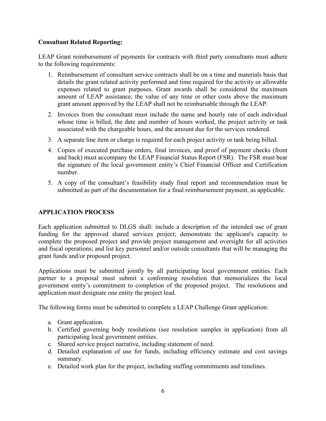# **Consultant Related Reporting:**

LEAP Grant reimbursement of payments for contracts with third party consultants must adhere to the following requirements:

- 1. Reimbursement of consultant service contracts shall be on a time and materials basis that details the grant related activity performed and time required for the activity or allowable expenses related to grant purposes. Grant awards shall be considered the maximum amount of LEAP assistance; the value of any time or other costs above the maximum grant amount approved by the LEAP shall not be reimbursable through the LEAP.
- 2. Invoices from the consultant must include the name and hourly rate of each individual whose time is billed, the date and number of hours worked, the project activity or task associated with the chargeable hours, and the amount due for the services rendered.
- 3. A separate line item or charge is required for each project activity or task being billed.
- 4. Copies of executed purchase orders, final invoices, and proof of payment checks (front and back) must accompany the LEAP Financial Status Report (FSR). The FSR must bear the signature of the local government entity's Chief Financial Officer and Certification number.
- 5. A copy of the consultant's feasibility study final report and recommendation must be submitted as part of the documentation for a final reimbursement payment, as applicable.

# **APPLICATION PROCESS**

Each application submitted to DLGS shall: include a description of the intended use of grant funding for the approved shared services project; demonstrate the applicant's capacity to complete the proposed project and provide project management and oversight for all activities and fiscal operations; and list key personnel and/or outside consultants that will be managing the grant funds and/or proposed project.

Applications must be submitted jointly by all participating local government entities. Each partner to a proposal must submit a conforming resolution that memorializes the local government entity's commitment to completion of the proposed project. The resolutions and application must designate one entity the project lead.

The following forms must be submitted to complete a LEAP Challenge Grant application:

- a. Grant application.
- b. Certified governing body resolutions (see resolution samples in application) from all participating local government entities.
- c. Shared service project narrative, including statement of need.
- d. Detailed explanation of use for funds, including efficiency estimate and cost savings summary.
- e. Detailed work plan for the project, including staffing commitments and timelines.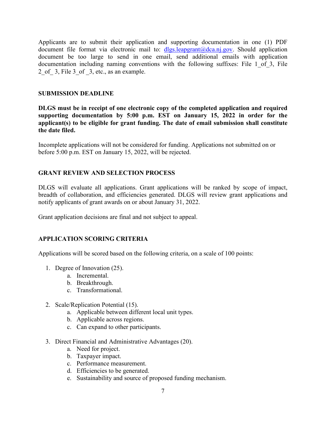Applicants are to submit their application and supporting documentation in one (1) PDF document file format via electronic mail to:  $dlgs.length(\omega)dcani.gov$ . Should application document be too large to send in one email, send additional emails with application documentation including naming conventions with the following suffixes: File 1\_of\_3, File 2 of 3, File 3 of 3, etc., as an example.

#### **SUBMISSION DEADLINE**

**DLGS must be in receipt of one electronic copy of the completed application and required supporting documentation by 5:00 p.m. EST on January 15, 2022 in order for the applicant(s) to be eligible for grant funding. The date of email submission shall constitute the date filed.** 

Incomplete applications will not be considered for funding. Applications not submitted on or before 5:00 p.m. EST on January 15, 2022, will be rejected.

# **GRANT REVIEW AND SELECTION PROCESS**

DLGS will evaluate all applications. Grant applications will be ranked by scope of impact, breadth of collaboration, and efficiencies generated. DLGS will review grant applications and notify applicants of grant awards on or about January 31, 2022.

Grant application decisions are final and not subject to appeal.

# **APPLICATION SCORING CRITERIA**

Applications will be scored based on the following criteria, on a scale of 100 points:

- 1. Degree of Innovation (25).
	- a. Incremental.
	- b. Breakthrough.
	- c. Transformational.
- 2. Scale/Replication Potential (15).
	- a. Applicable between different local unit types.
	- b. Applicable across regions.
	- c. Can expand to other participants.
- 3. Direct Financial and Administrative Advantages (20).
	- a. Need for project.
	- b. Taxpayer impact.
	- c. Performance measurement.
	- d. Efficiencies to be generated.
	- e. Sustainability and source of proposed funding mechanism.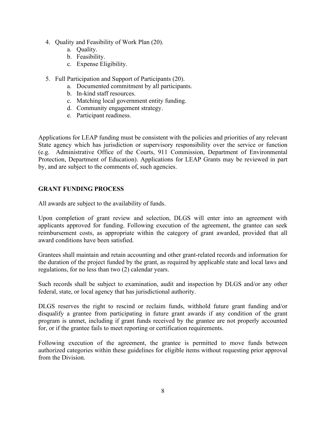- 4. Quality and Feasibility of Work Plan (20).
	- a. Quality.
	- b. Feasibility.
	- c. Expense Eligibility.
- 5. Full Participation and Support of Participants (20).
	- a. Documented commitment by all participants.
	- b. In-kind staff resources.
	- c. Matching local government entity funding.
	- d. Community engagement strategy.
	- e. Participant readiness.

Applications for LEAP funding must be consistent with the policies and priorities of any relevant State agency which has jurisdiction or supervisory responsibility over the service or function (e.g. Administrative Office of the Courts, 911 Commission, Department of Environmental Protection, Department of Education). Applications for LEAP Grants may be reviewed in part by, and are subject to the comments of, such agencies.

## **GRANT FUNDING PROCESS**

All awards are subject to the availability of funds.

Upon completion of grant review and selection, DLGS will enter into an agreement with applicants approved for funding. Following execution of the agreement, the grantee can seek reimbursement costs, as appropriate within the category of grant awarded, provided that all award conditions have been satisfied.

Grantees shall maintain and retain accounting and other grant-related records and information for the duration of the project funded by the grant, as required by applicable state and local laws and regulations, for no less than two (2) calendar years.

Such records shall be subject to examination, audit and inspection by DLGS and/or any other federal, state, or local agency that has jurisdictional authority.

DLGS reserves the right to rescind or reclaim funds, withhold future grant funding and/or disqualify a grantee from participating in future grant awards if any condition of the grant program is unmet, including if grant funds received by the grantee are not properly accounted for, or if the grantee fails to meet reporting or certification requirements.

Following execution of the agreement, the grantee is permitted to move funds between authorized categories within these guidelines for eligible items without requesting prior approval from the Division.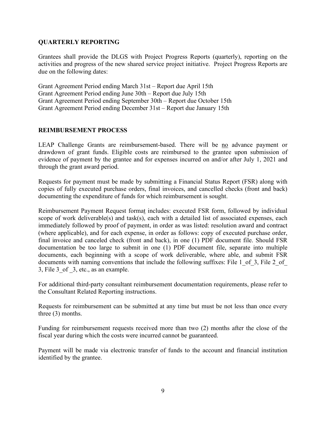#### **QUARTERLY REPORTING**

Grantees shall provide the DLGS with Project Progress Reports (quarterly), reporting on the activities and progress of the new shared service project initiative. Project Progress Reports are due on the following dates:

Grant Agreement Period ending March 31st – Report due April 15th Grant Agreement Period ending June 30th – Report due July 15th Grant Agreement Period ending September 30th – Report due October 15th Grant Agreement Period ending December 31st – Report due January 15th

## **REIMBURSEMENT PROCESS**

LEAP Challenge Grants are reimbursement-based. There will be no advance payment or drawdown of grant funds. Eligible costs are reimbursed to the grantee upon submission of evidence of payment by the grantee and for expenses incurred on and/or after July 1, 2021 and through the grant award period.

Requests for payment must be made by submitting a Financial Status Report (FSR) along with copies of fully executed purchase orders, final invoices, and cancelled checks (front and back) documenting the expenditure of funds for which reimbursement is sought.

Reimbursement Payment Request format includes: executed FSR form, followed by individual scope of work deliverable(s) and task(s), each with a detailed list of associated expenses, each immediately followed by proof of payment, in order as was listed: resolution award and contract (where applicable), and for each expense, in order as follows: copy of executed purchase order, final invoice and canceled check (front and back), in one (1) PDF document file. Should FSR documentation be too large to submit in one (1) PDF document file, separate into multiple documents, each beginning with a scope of work deliverable, where able, and submit FSR documents with naming conventions that include the following suffixes: File 1 of 3, File 2 of 3, File 3\_of \_3, etc., as an example.

For additional third-party consultant reimbursement documentation requirements, please refer to the Consultant Related Reporting instructions.

Requests for reimbursement can be submitted at any time but must be not less than once every three (3) months.

Funding for reimbursement requests received more than two (2) months after the close of the fiscal year during which the costs were incurred cannot be guaranteed.

Payment will be made via electronic transfer of funds to the account and financial institution identified by the grantee.